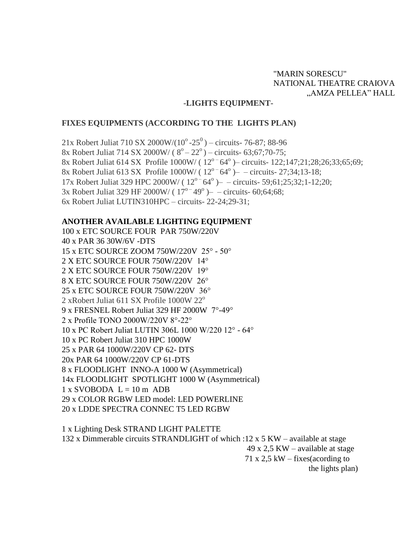# "MARIN SORESCU" NATIONAL THEATRE CRAIOVA "AMZA PELLEA" HALL

### **-LIGHTS EQUIPMENT-**

## **FIXES EQUIPMENTS (ACCORDING TO THE LIGHTS PLAN)**

21x Robert Juliat 710 SX 2000W/( $10^{\circ}$ -25<sup>0</sup>) – circuits- 76-87; 88-96 8x Robert Juliat 714 SX 2000W/ ( $8^{\circ} - 22^{\circ}$ ) – circuits- 63;67;70-75; 8x Robert Juliat 614 SX Profile  $1000W/(12^{\circ} - 64^{\circ})$  - circuits- 122;147;21;28;26;33;65;69; 8x Robert Juliat 613 SX Profile  $1000W/(12^{o-}64^{o})$  - circuits- 27;34;13-18; 17x Robert Juliat 329 HPC 2000W/  $(12^{o-64^o})$  - circuits- 59;61;25;32;1-12;20; 3x Robert Juliat 329 HF 2000W/  $(17^{\circ} - 49^{\circ})$  - circuits- 60;64;68; 6x Robert Juliat LUTIN310HPC – circuits- 22-24;29-31;

## **ANOTHER AVAILABLE LIGHTING EQUIPMENT**

100 x ETC SOURCE FOUR PAR 750W/220V 40 x PAR 36 30W/6V -DTS 15 x ETC SOURCE ZOOM 750W/220V 25° - 50° 2 X ETC SOURCE FOUR 750W/220V 14° 2 X ETC SOURCE FOUR 750W/220V 19° 8 X ETC SOURCE FOUR 750W/220V 26° 25 x ETC SOURCE FOUR 750W/220V 36° 2 xRobert Juliat 611 SX Profile  $1000W 22^{\circ}$ 9 x FRESNEL Robert Juliat 329 HF 2000W 7°-49° 2 x Profile TONO 2000W/220V 8°-22° 10 x PC Robert Juliat LUTIN 306L 1000 W/220 12° - 64° 10 x PC Robert Juliat 310 HPC 1000W 25 x PAR 64 1000W/220V CP 62- DTS 20x PAR 64 1000W/220V CP 61-DTS 8 x FLOODLIGHT INNO-A 1000 W (Asymmetrical) 14x FLOODLIGHT SPOTLIGHT 1000 W (Asymmetrical)  $1 \times$  SVOBODA  $L = 10$  m ADB 29 x COLOR RGBW LED model: LED POWERLINE 20 x LDDE SPECTRA CONNEC T5 LED RGBW

1 x Lighting Desk STRAND LIGHT PALETTE 132 x Dimmerable circuits STRANDLIGHT of which :12 x 5 KW – available at stage 49 x 2,5 KW – available at stage 71 x 2,5 kW – fixes (acording to the lights plan)